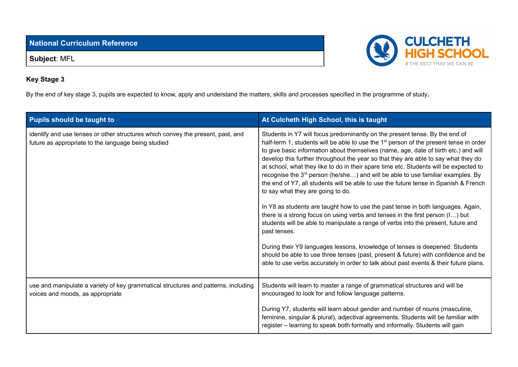**National Curriculum Reference**

**Subject**: MFL



## **Key Stage 3**

By the end of key stage 3, pupils are expected to know, apply and understand the matters, skills and processes specified in the programme of study**.**

| <b>Pupils should be taught to</b>                                                                                                      | At Culcheth High School, this is taught                                                                                                                                                                                                                                                                                                                                                                                                                                                                                                                                                                                                                                                                                                                                                                                                                                                                                                                       |
|----------------------------------------------------------------------------------------------------------------------------------------|---------------------------------------------------------------------------------------------------------------------------------------------------------------------------------------------------------------------------------------------------------------------------------------------------------------------------------------------------------------------------------------------------------------------------------------------------------------------------------------------------------------------------------------------------------------------------------------------------------------------------------------------------------------------------------------------------------------------------------------------------------------------------------------------------------------------------------------------------------------------------------------------------------------------------------------------------------------|
| identify and use tenses or other structures which convey the present, past, and<br>future as appropriate to the language being studied | Students in Y7 will focus predominantly on the present tense. By the end of<br>half-term 1, students will be able to use the 1 <sup>st</sup> person of the present tense in order<br>to give basic information about themselves (name, age, date of birth etc.) and will<br>develop this further throughout the year so that they are able to say what they do<br>at school, what they like to do in their spare time etc. Students will be expected to<br>recognise the 3 <sup>rd</sup> person (he/she) and will be able to use familiar examples. By<br>the end of Y7, all students will be able to use the future tense in Spanish & French<br>to say what they are going to do.<br>In Y8 as students are taught how to use the past tense in both languages. Again,<br>there is a strong focus on using verbs and tenses in the first person (I) but<br>students will be able to manipulate a range of verbs into the present, future and<br>past tenses. |
|                                                                                                                                        | During their Y9 languages lessons, knowledge of tenses is deepened. Students<br>should be able to use three tenses (past, present & future) with confidence and be<br>able to use verbs accurately in order to talk about past events & their future plans.                                                                                                                                                                                                                                                                                                                                                                                                                                                                                                                                                                                                                                                                                                   |
| use and manipulate a variety of key grammatical structures and patterns, including<br>voices and moods, as appropriate                 | Students will learn to master a range of grammatical structures and will be<br>encouraged to look for and follow language patterns.                                                                                                                                                                                                                                                                                                                                                                                                                                                                                                                                                                                                                                                                                                                                                                                                                           |
|                                                                                                                                        | During Y7, students will learn about gender and number of nouns (masculine,<br>feminine, singular & plural), adjectival agreements. Students will be familiar with<br>register - learning to speak both formally and informally. Students will gain                                                                                                                                                                                                                                                                                                                                                                                                                                                                                                                                                                                                                                                                                                           |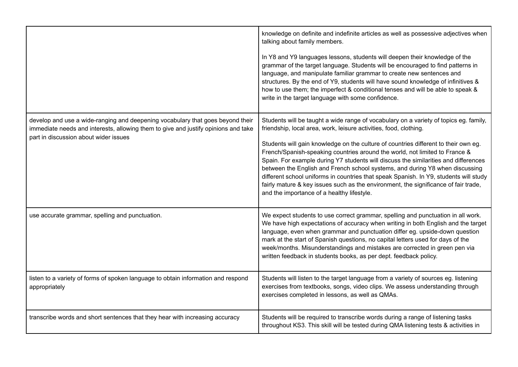|                                                                                                                                                                                                               | knowledge on definite and indefinite articles as well as possessive adjectives when<br>talking about family members.<br>In Y8 and Y9 languages lessons, students will deepen their knowledge of the<br>grammar of the target language. Students will be encouraged to find patterns in<br>language, and manipulate familiar grammar to create new sentences and<br>structures. By the end of Y9, students will have sound knowledge of infinitives &<br>how to use them; the imperfect & conditional tenses and will be able to speak &<br>write in the target language with some confidence.                                                                                                                                         |
|---------------------------------------------------------------------------------------------------------------------------------------------------------------------------------------------------------------|---------------------------------------------------------------------------------------------------------------------------------------------------------------------------------------------------------------------------------------------------------------------------------------------------------------------------------------------------------------------------------------------------------------------------------------------------------------------------------------------------------------------------------------------------------------------------------------------------------------------------------------------------------------------------------------------------------------------------------------|
| develop and use a wide-ranging and deepening vocabulary that goes beyond their<br>immediate needs and interests, allowing them to give and justify opinions and take<br>part in discussion about wider issues | Students will be taught a wide range of vocabulary on a variety of topics eg. family,<br>friendship, local area, work, leisure activities, food, clothing.<br>Students will gain knowledge on the culture of countries different to their own eg.<br>French/Spanish-speaking countries around the world, not limited to France &<br>Spain. For example during Y7 students will discuss the similarities and differences<br>between the English and French school systems, and during Y8 when discussing<br>different school uniforms in countries that speak Spanish. In Y9, students will study<br>fairly mature & key issues such as the environment, the significance of fair trade,<br>and the importance of a healthy lifestyle. |
| use accurate grammar, spelling and punctuation.                                                                                                                                                               | We expect students to use correct grammar, spelling and punctuation in all work.<br>We have high expectations of accuracy when writing in both English and the target<br>language, even when grammar and punctuation differ eg. upside-down question<br>mark at the start of Spanish questions, no capital letters used for days of the<br>week/months. Misunderstandings and mistakes are corrected in green pen via<br>written feedback in students books, as per dept. feedback policy.                                                                                                                                                                                                                                            |
| listen to a variety of forms of spoken language to obtain information and respond<br>appropriately                                                                                                            | Students will listen to the target language from a variety of sources eg. listening<br>exercises from textbooks, songs, video clips. We assess understanding through<br>exercises completed in lessons, as well as QMAs.                                                                                                                                                                                                                                                                                                                                                                                                                                                                                                              |
| transcribe words and short sentences that they hear with increasing accuracy                                                                                                                                  | Students will be required to transcribe words during a range of listening tasks<br>throughout KS3. This skill will be tested during QMA listening tests & activities in                                                                                                                                                                                                                                                                                                                                                                                                                                                                                                                                                               |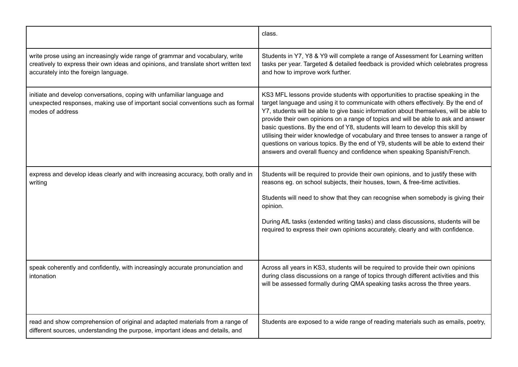|                                                                                                                                                                                                                | class.                                                                                                                                                                                                                                                                                                                                                                                                                                                                                                                                                                                                                                                                                             |
|----------------------------------------------------------------------------------------------------------------------------------------------------------------------------------------------------------------|----------------------------------------------------------------------------------------------------------------------------------------------------------------------------------------------------------------------------------------------------------------------------------------------------------------------------------------------------------------------------------------------------------------------------------------------------------------------------------------------------------------------------------------------------------------------------------------------------------------------------------------------------------------------------------------------------|
| write prose using an increasingly wide range of grammar and vocabulary, write<br>creatively to express their own ideas and opinions, and translate short written text<br>accurately into the foreign language. | Students in Y7, Y8 & Y9 will complete a range of Assessment for Learning written<br>tasks per year. Targeted & detailed feedback is provided which celebrates progress<br>and how to improve work further.                                                                                                                                                                                                                                                                                                                                                                                                                                                                                         |
| initiate and develop conversations, coping with unfamiliar language and<br>unexpected responses, making use of important social conventions such as formal<br>modes of address                                 | KS3 MFL lessons provide students with opportunities to practise speaking in the<br>target language and using it to communicate with others effectively. By the end of<br>Y7, students will be able to give basic information about themselves, will be able to<br>provide their own opinions on a range of topics and will be able to ask and answer<br>basic questions. By the end of Y8, students will learn to develop this skill by<br>utilising their wider knowledge of vocabulary and three tenses to answer a range of<br>questions on various topics. By the end of Y9, students will be able to extend their<br>answers and overall fluency and confidence when speaking Spanish/French. |
| express and develop ideas clearly and with increasing accuracy, both orally and in<br>writing                                                                                                                  | Students will be required to provide their own opinions, and to justify these with<br>reasons eg. on school subjects, their houses, town, & free-time activities.<br>Students will need to show that they can recognise when somebody is giving their<br>opinion.<br>During AfL tasks (extended writing tasks) and class discussions, students will be<br>required to express their own opinions accurately, clearly and with confidence.                                                                                                                                                                                                                                                          |
| speak coherently and confidently, with increasingly accurate pronunciation and<br>intonation                                                                                                                   | Across all years in KS3, students will be required to provide their own opinions<br>during class discussions on a range of topics through different activities and this<br>will be assessed formally during QMA speaking tasks across the three years.                                                                                                                                                                                                                                                                                                                                                                                                                                             |
| read and show comprehension of original and adapted materials from a range of<br>different sources, understanding the purpose, important ideas and details, and                                                | Students are exposed to a wide range of reading materials such as emails, poetry,                                                                                                                                                                                                                                                                                                                                                                                                                                                                                                                                                                                                                  |